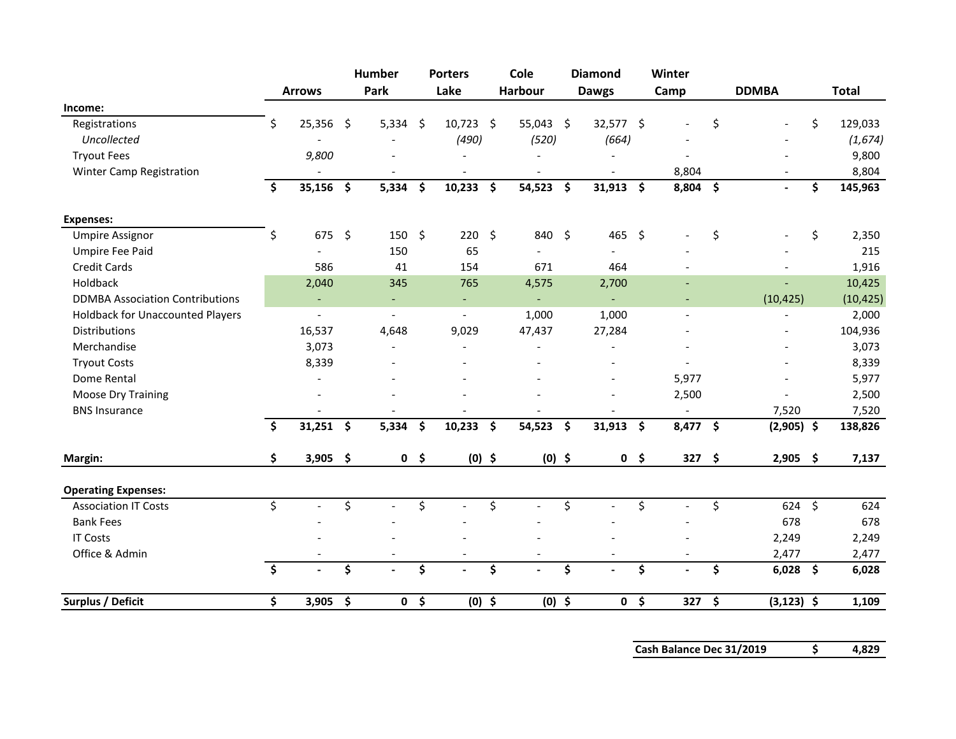|                                         |                     |                          |                     | Humber                   |                     | <b>Porters</b>           | Cole              |                     | <b>Diamond</b>           |                     | Winter     |      |               |               |
|-----------------------------------------|---------------------|--------------------------|---------------------|--------------------------|---------------------|--------------------------|-------------------|---------------------|--------------------------|---------------------|------------|------|---------------|---------------|
|                                         |                     | <b>Arrows</b>            |                     | Park                     |                     | Lake                     | Harbour           |                     | <b>Dawgs</b>             |                     | Camp       |      | <b>DDMBA</b>  | <b>Total</b>  |
| Income:                                 |                     |                          |                     |                          |                     |                          |                   |                     |                          |                     |            |      |               |               |
| Registrations                           | Ś                   | 25,356 \$                |                     | $5,334$ \$               |                     | 10,723                   | \$<br>55,043 \$   |                     | 32,577 \$                |                     |            | \$   |               | \$<br>129,033 |
| Uncollected                             |                     |                          |                     |                          |                     | (490)                    | (520)             |                     | (664)                    |                     |            |      |               | (1,674)       |
| <b>Tryout Fees</b>                      |                     | 9,800                    |                     |                          |                     |                          |                   |                     |                          |                     |            |      |               | 9,800         |
| Winter Camp Registration                |                     |                          |                     |                          |                     |                          |                   |                     |                          |                     | 8,804      |      |               | 8,804         |
|                                         | \$                  | 35,156                   | $\ddot{\bm{\zeta}}$ | 5,334                    | $\ddot{\bm{\zeta}}$ | 10,233                   | \$<br>54,523      | $\ddot{\bm{\zeta}}$ | 31,913                   | \$                  | $8,804$ \$ |      | $\sim$        | \$<br>145,963 |
| <b>Expenses:</b>                        |                     |                          |                     |                          |                     |                          |                   |                     |                          |                     |            |      |               |               |
| <b>Umpire Assignor</b>                  | \$                  | 675                      | - \$                | $150 \quad $$            |                     | 220                      | \$<br>840 \$      |                     | 465                      | $\ddot{\mathsf{S}}$ |            | \$   |               | \$<br>2,350   |
| Umpire Fee Paid                         |                     |                          |                     | 150                      |                     | 65                       |                   |                     |                          |                     |            |      |               | 215           |
| <b>Credit Cards</b>                     |                     | 586                      |                     | 41                       |                     | 154                      | 671               |                     | 464                      |                     |            |      |               | 1,916         |
| Holdback                                |                     | 2,040                    |                     | 345                      |                     | 765                      | 4,575             |                     | 2,700                    |                     |            |      |               | 10,425        |
| <b>DDMBA Association Contributions</b>  |                     | $\overline{\phantom{a}}$ |                     | $\overline{\phantom{a}}$ |                     | $\overline{\phantom{a}}$ | $\blacksquare$    |                     | $\blacksquare$           |                     |            |      | (10, 425)     | (10, 425)     |
| <b>Holdback for Unaccounted Players</b> |                     | $\overline{a}$           |                     | $\overline{\phantom{0}}$ |                     | $\overline{a}$           | 1,000             |                     | 1,000                    |                     |            |      |               | 2,000         |
| Distributions                           |                     | 16,537                   |                     | 4,648                    |                     | 9,029                    | 47,437            |                     | 27,284                   |                     |            |      |               | 104,936       |
| Merchandise                             |                     | 3,073                    |                     | ۰                        |                     | $\overline{a}$           |                   |                     | $\overline{\phantom{a}}$ |                     |            |      |               | 3,073         |
| <b>Tryout Costs</b>                     |                     | 8,339                    |                     |                          |                     |                          |                   |                     |                          |                     |            |      |               | 8,339         |
| Dome Rental                             |                     |                          |                     |                          |                     |                          |                   |                     |                          |                     | 5,977      |      |               | 5,977         |
| <b>Moose Dry Training</b>               |                     |                          |                     |                          |                     |                          |                   |                     |                          |                     | 2,500      |      |               | 2,500         |
| <b>BNS Insurance</b>                    |                     |                          |                     |                          |                     |                          |                   |                     |                          |                     |            |      | 7,520         | 7,520         |
|                                         | \$                  | $31,251$ \$              |                     | 5,334                    | \$                  | 10,233                   | \$<br>$54,523$ \$ |                     | $31,913$ \$              |                     | 8,477 \$   |      | $(2,905)$ \$  | 138,826       |
| Margin:                                 | \$                  | $3,905$ \$               |                     |                          | 0 <sup>5</sup>      | $(0)$ \$                 | $(0)$ \$          |                     |                          | 0 <sup>5</sup>      | 327        | - \$ | $2,905$ \$    | 7,137         |
| <b>Operating Expenses:</b>              |                     |                          |                     |                          |                     |                          |                   |                     |                          |                     |            |      |               |               |
| <b>Association IT Costs</b>             | \$                  |                          | \$                  |                          | \$                  |                          | \$                | \$                  |                          | \$                  |            | \$   | $624$ \$      | 624           |
| <b>Bank Fees</b>                        |                     |                          |                     |                          |                     |                          |                   |                     |                          |                     |            |      | 678           | 678           |
| <b>IT Costs</b>                         |                     |                          |                     |                          |                     |                          |                   |                     |                          |                     |            |      | 2,249         | 2,249         |
| Office & Admin                          |                     |                          |                     |                          |                     |                          |                   |                     |                          |                     |            |      | 2,477         | 2,477         |
|                                         | $\ddot{\bm{\zeta}}$ |                          | \$                  |                          | \$                  |                          | \$                | \$                  |                          | \$                  |            | \$   | $6,028$ \$    | 6,028         |
| Surplus / Deficit                       | \$                  | $3,905$ \$               |                     | $\mathbf 0$              | \$                  | $(0)$ \$                 | $(0)$ \$          |                     | 0                        | \$                  | 327        | \$   | $(3, 123)$ \$ | 1,109         |

**Cash Balance Dec 31/2019 \$ 4,829**